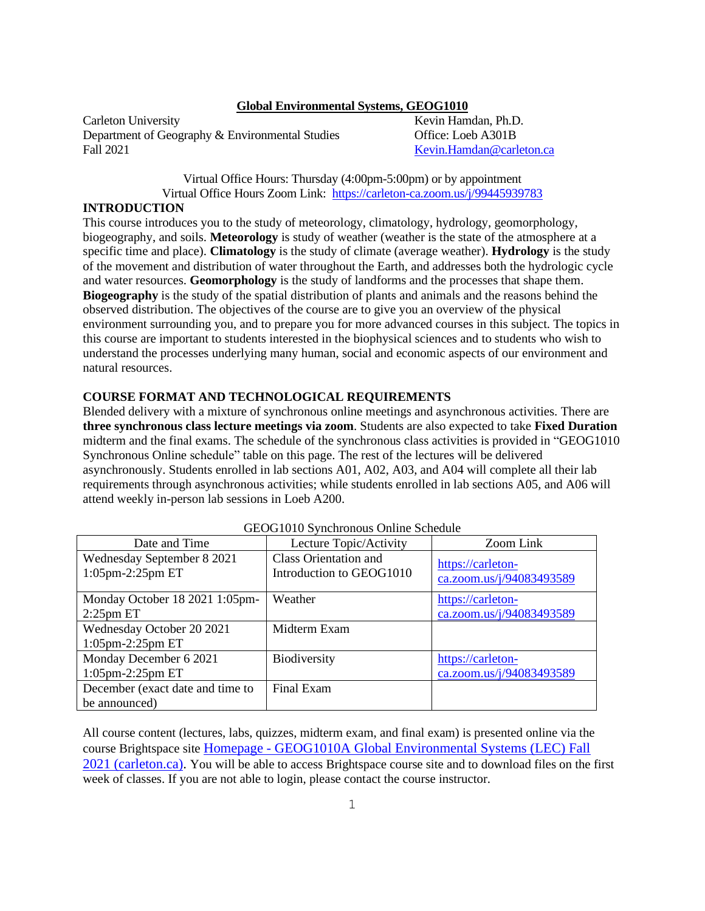#### **Global Environmental Systems, GEOG1010**

Carleton University **Kevin Hamdan, Ph.D.** Kevin Hamdan, Ph.D. Department of Geography & Environmental Studies Office: Loeb A301B Fall 2021 [Kevin.Hamdan@carleton.ca](mailto:Kevin.Hamdan@carleton.ca)

Virtual Office Hours: Thursday (4:00pm-5:00pm) or by appointment Virtual Office Hours Zoom Link:<https://carleton-ca.zoom.us/j/99445939783>

### **INTRODUCTION**

This course introduces you to the study of meteorology, climatology, hydrology, geomorphology, biogeography, and soils. **Meteorology** is study of weather (weather is the state of the atmosphere at a specific time and place). **Climatology** is the study of climate (average weather). **Hydrology** is the study of the movement and distribution of water throughout the Earth, and addresses both the hydrologic cycle and water resources. **Geomorphology** is the study of landforms and the processes that shape them. **Biogeography** is the study of the spatial distribution of plants and animals and the reasons behind the observed distribution. The objectives of the course are to give you an overview of the physical environment surrounding you, and to prepare you for more advanced courses in this subject. The topics in this course are important to students interested in the biophysical sciences and to students who wish to understand the processes underlying many human, social and economic aspects of our environment and natural resources.

### **COURSE FORMAT AND TECHNOLOGICAL REQUIREMENTS**

Blended delivery with a mixture of synchronous online meetings and asynchronous activities. There are **three synchronous class lecture meetings via zoom**. Students are also expected to take **Fixed Duration** midterm and the final exams. The schedule of the synchronous class activities is provided in "GEOG1010 Synchronous Online schedule" table on this page. The rest of the lectures will be delivered asynchronously. Students enrolled in lab sections A01, A02, A03, and A04 will complete all their lab requirements through asynchronous activities; while students enrolled in lab sections A05, and A06 will attend weekly in-person lab sessions in Loeb A200.

| Date and Time                                     | <u>OLOOTUTU DYNUMUNUUS OMMIC DUNUUIU</u><br>Lecture Topic/Activity | Zoom Link                                     |
|---------------------------------------------------|--------------------------------------------------------------------|-----------------------------------------------|
| Wednesday September 8 2021<br>$1:05$ pm-2:25pm ET | Class Orientation and<br>Introduction to GEOG1010                  | https://carleton-<br>ca.zoom.us/j/94083493589 |
| Monday October 18 2021 1:05pm-<br>$2:25$ pm ET    | Weather                                                            | https://carleton-<br>ca.zoom.us/j/94083493589 |
| Wednesday October 20 2021<br>$1:05$ pm-2:25pm ET  | Midterm Exam                                                       |                                               |
| Monday December 6 2021<br>$1:05$ pm-2:25pm ET     | Biodiversity                                                       | https://carleton-<br>ca.zoom.us/j/94083493589 |
| December (exact date and time to<br>be announced) | Final Exam                                                         |                                               |

| GEOG1010 Synchronous Online Schedule |  |  |  |
|--------------------------------------|--|--|--|
|--------------------------------------|--|--|--|

All course content (lectures, labs, quizzes, midterm exam, and final exam) is presented online via the course Brightspace site Homepage - [GEOG1010A Global Environmental Systems \(LEC\) Fall](https://brightspace.carleton.ca/d2l/home/63063)  [2021 \(carleton.ca\).](https://brightspace.carleton.ca/d2l/home/63063) You will be able to access Brightspace course site and to download files on the first week of classes. If you are not able to login, please contact the course instructor.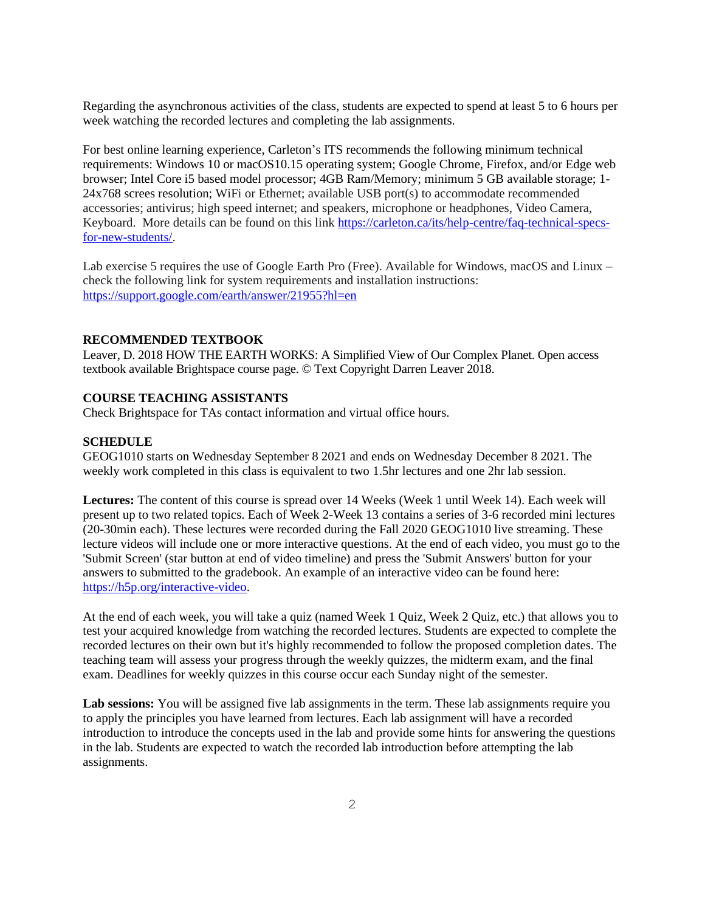Regarding the asynchronous activities of the class, students are expected to spend at least 5 to 6 hours per week watching the recorded lectures and completing the lab assignments.

For best online learning experience, Carleton's ITS recommends the following minimum technical requirements: Windows 10 or macOS10.15 operating system; Google Chrome, Firefox, and/or Edge web browser; Intel Core i5 based model processor; 4GB Ram/Memory; minimum 5 GB available storage; 1- 24x768 screes resolution; WiFi or Ethernet; available USB port(s) to accommodate recommended accessories; antivirus; high speed internet; and speakers, microphone or headphones, Video Camera, Keyboard. More details can be found on this link [https://carleton.ca/its/help-centre/faq-technical-specs](https://carleton.ca/its/help-centre/faq-technical-specs-for-new-students/)[for-new-students/.](https://carleton.ca/its/help-centre/faq-technical-specs-for-new-students/)

Lab exercise 5 requires the use of Google Earth Pro (Free). Available for Windows, macOS and Linux – check the following link for system requirements and installation instructions: <https://support.google.com/earth/answer/21955?hl=en>

#### **RECOMMENDED TEXTBOOK**

Leaver, D. 2018 HOW THE EARTH WORKS: A Simplified View of Our Complex Planet. Open access textbook available Brightspace course page. © Text Copyright Darren Leaver 2018.

## **COURSE TEACHING ASSISTANTS**

Check Brightspace for TAs contact information and virtual office hours.

#### **SCHEDULE**

GEOG1010 starts on Wednesday September 8 2021 and ends on Wednesday December 8 2021. The weekly work completed in this class is equivalent to two 1.5hr lectures and one 2hr lab session.

**Lectures:** The content of this course is spread over 14 Weeks (Week 1 until Week 14). Each week will present up to two related topics. Each of Week 2-Week 13 contains a series of 3-6 recorded mini lectures (20-30min each). These lectures were recorded during the Fall 2020 GEOG1010 live streaming. These lecture videos will include one or more interactive questions. At the end of each video, you must go to the 'Submit Screen' (star button at end of video timeline) and press the 'Submit Answers' button for your answers to submitted to the gradebook. An example of an interactive video can be found here: [https://h5p.org/interactive-video.](https://h5p.org/interactive-video)

At the end of each week, you will take a quiz (named Week 1 Quiz, Week 2 Quiz, etc.) that allows you to test your acquired knowledge from watching the recorded lectures. Students are expected to complete the recorded lectures on their own but it's highly recommended to follow the proposed completion dates. The teaching team will assess your progress through the weekly quizzes, the midterm exam, and the final exam. Deadlines for weekly quizzes in this course occur each Sunday night of the semester.

Lab sessions: You will be assigned five lab assignments in the term. These lab assignments require you to apply the principles you have learned from lectures. Each lab assignment will have a recorded introduction to introduce the concepts used in the lab and provide some hints for answering the questions in the lab. Students are expected to watch the recorded lab introduction before attempting the lab assignments.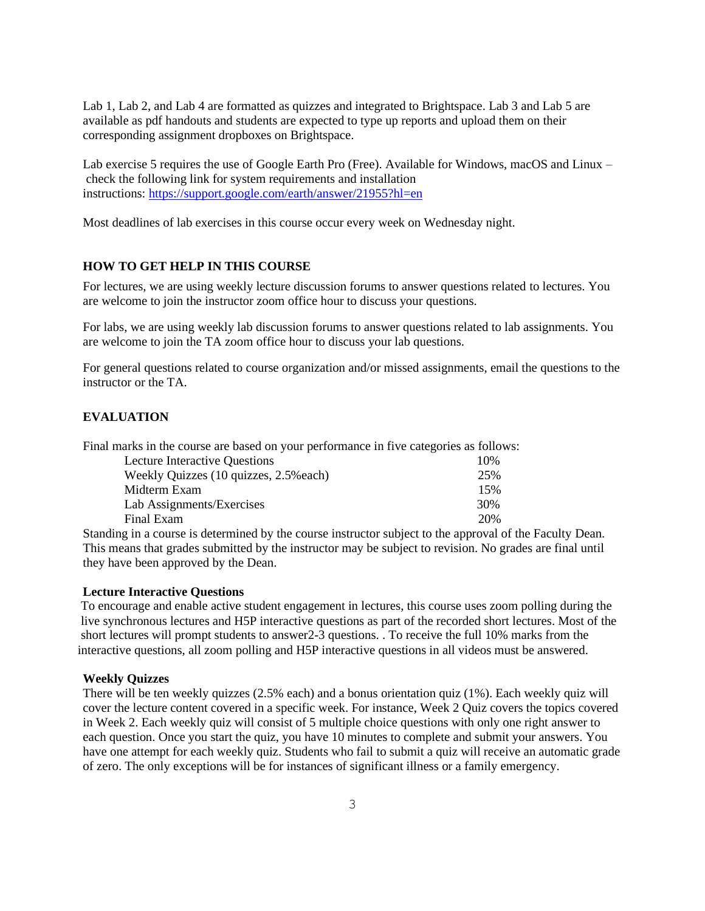Lab 1, Lab 2, and Lab 4 are formatted as quizzes and integrated to Brightspace. Lab 3 and Lab 5 are available as pdf handouts and students are expected to type up reports and upload them on their corresponding assignment dropboxes on Brightspace.

Lab exercise 5 requires the use of Google Earth Pro (Free). Available for Windows, macOS and Linux – check the following link for system requirements and installation instructions: <https://support.google.com/earth/answer/21955?hl=en>

Most deadlines of lab exercises in this course occur every week on Wednesday night.

## **HOW TO GET HELP IN THIS COURSE**

For lectures, we are using weekly lecture discussion forums to answer questions related to lectures. You are welcome to join the instructor zoom office hour to discuss your questions.

For labs, we are using weekly lab discussion forums to answer questions related to lab assignments. You are welcome to join the TA zoom office hour to discuss your lab questions.

For general questions related to course organization and/or missed assignments, email the questions to the instructor or the TA.

# **EVALUATION**

Final marks in the course are based on your performance in five categories as follows:

| <b>Lecture Interactive Questions</b>    | 10% |
|-----------------------------------------|-----|
| Weekly Quizzes (10 quizzes, 2.5\% each) | 25% |
| Midterm Exam                            | 15% |
| Lab Assignments/Exercises               | 30% |
| Final Exam                              | 20% |

Standing in a course is determined by the course instructor subject to the approval of the Faculty Dean. This means that grades submitted by the instructor may be subject to revision. No grades are final until they have been approved by the Dean.

#### **Lecture Interactive Questions**

To encourage and enable active student engagement in lectures, this course uses zoom polling during the live synchronous lectures and H5P interactive questions as part of the recorded short lectures. Most of the short lectures will prompt students to answer2-3 questions. . To receive the full 10% marks from the interactive questions, all zoom polling and H5P interactive questions in all videos must be answered.

#### **Weekly Quizzes**

There will be ten weekly quizzes (2.5% each) and a bonus orientation quiz (1%). Each weekly quiz will cover the lecture content covered in a specific week. For instance, Week 2 Quiz covers the topics covered in Week 2. Each weekly quiz will consist of 5 multiple choice questions with only one right answer to each question. Once you start the quiz, you have 10 minutes to complete and submit your answers. You have one attempt for each weekly quiz. Students who fail to submit a quiz will receive an automatic grade of zero. The only exceptions will be for instances of significant illness or a family emergency.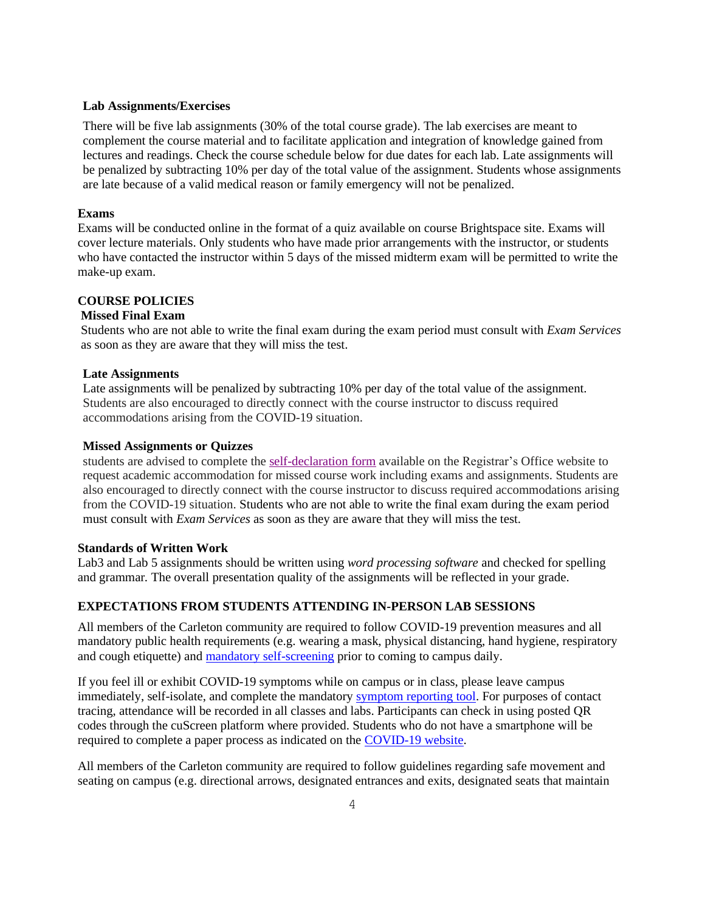#### **Lab Assignments/Exercises**

There will be five lab assignments (30% of the total course grade). The lab exercises are meant to complement the course material and to facilitate application and integration of knowledge gained from lectures and readings. Check the course schedule below for due dates for each lab. Late assignments will be penalized by subtracting 10% per day of the total value of the assignment. Students whose assignments are late because of a valid medical reason or family emergency will not be penalized.

#### **Exams**

Exams will be conducted online in the format of a quiz available on course Brightspace site. Exams will cover lecture materials. Only students who have made prior arrangements with the instructor, or students who have contacted the instructor within 5 days of the missed midterm exam will be permitted to write the make-up exam.

### **COURSE POLICIES**

## **Missed Final Exam**

Students who are not able to write the final exam during the exam period must consult with *Exam Services* as soon as they are aware that they will miss the test.

### **Late Assignments**

Late assignments will be penalized by subtracting 10% per day of the total value of the assignment. Students are also encouraged to directly connect with the course instructor to discuss required accommodations arising from the COVID-19 situation.

#### **Missed Assignments or Quizzes**

students are advised to complete the [self-declaration](https://carleton.ca/registrar/wp-content/uploads/self-declaration.pdf) form available on the Registrar's Office website to request academic accommodation for missed course work including exams and assignments. Students are also encouraged to directly connect with the course instructor to discuss required accommodations arising from the COVID-19 situation. Students who are not able to write the final exam during the exam period must consult with *Exam Services* as soon as they are aware that they will miss the test.

### **Standards of Written Work**

Lab3 and Lab 5 assignments should be written using *word processing software* and checked for spelling and grammar*.* The overall presentation quality of the assignments will be reflected in your grade.

# **EXPECTATIONS FROM STUDENTS ATTENDING IN-PERSON LAB SESSIONS**

All members of the Carleton community are required to follow COVID-19 prevention measures and all mandatory public health requirements (e.g. wearing a mask, physical distancing, hand hygiene, respiratory and cough etiquette) and [mandatory self-screening](https://carleton.ca/covid19/screening/) prior to coming to campus daily.

If you feel ill or exhibit COVID-19 symptoms while on campus or in class, please leave campus immediately, self-isolate, and complete the mandatory [symptom reporting tool.](https://carleton.ca/covid19/covid-19-symptom-reporting/) For purposes of contact tracing, attendance will be recorded in all classes and labs. Participants can check in using posted QR codes through the cuScreen platform where provided. Students who do not have a smartphone will be required to complete a paper process as indicated on the [COVID-19 website.](http://carleton.ca/covid19)

All members of the Carleton community are required to follow guidelines regarding safe movement and seating on campus (e.g. directional arrows, designated entrances and exits, designated seats that maintain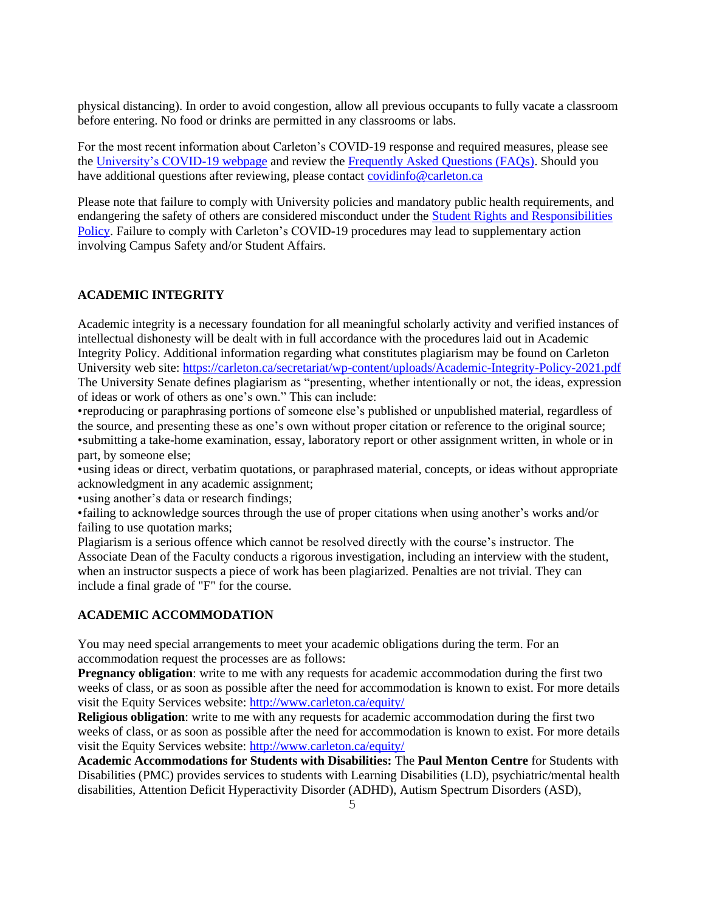physical distancing). In order to avoid congestion, allow all previous occupants to fully vacate a classroom before entering. No food or drinks are permitted in any classrooms or labs.

For the most recent information about Carleton's COVID-19 response and required measures, please see the [University's COVID-19 webpage](https://carleton.ca/covid19/) and review the [Frequently Asked Questions \(FAQs\).](https://carleton.ca/covid19/faq/) Should you have additional questions after reviewing, please contact [covidinfo@carleton.ca](mailto:covidinfo@carleton.ca)

Please note that failure to comply with University policies and mandatory public health requirements, and endangering the safety of others are considered misconduct under the [Student Rights and Responsibilities](https://carleton.ca/studentaffairs/student-rights-and-responsibilities/)  [Policy.](https://carleton.ca/studentaffairs/student-rights-and-responsibilities/) Failure to comply with Carleton's COVID-19 procedures may lead to supplementary action involving Campus Safety and/or Student Affairs.

### **ACADEMIC INTEGRITY**

Academic integrity is a necessary foundation for all meaningful scholarly activity and verified instances of intellectual dishonesty will be dealt with in full accordance with the procedures laid out in Academic Integrity Policy. Additional information regarding what constitutes plagiarism may be found on Carleton University web site:<https://carleton.ca/secretariat/wp-content/uploads/Academic-Integrity-Policy-2021.pdf> The University Senate defines plagiarism as "presenting, whether intentionally or not, the ideas, expression of ideas or work of others as one's own." This can include:

•reproducing or paraphrasing portions of someone else's published or unpublished material, regardless of the source, and presenting these as one's own without proper citation or reference to the original source; •submitting a take-home examination, essay, laboratory report or other assignment written, in whole or in part, by someone else;

•using ideas or direct, verbatim quotations, or paraphrased material, concepts, or ideas without appropriate acknowledgment in any academic assignment;

•using another's data or research findings;

•failing to acknowledge sources through the use of proper citations when using another's works and/or failing to use quotation marks;

Plagiarism is a serious offence which cannot be resolved directly with the course's instructor. The Associate Dean of the Faculty conducts a rigorous investigation, including an interview with the student, when an instructor suspects a piece of work has been plagiarized. Penalties are not trivial. They can include a final grade of "F" for the course.

## **ACADEMIC ACCOMMODATION**

You may need special arrangements to meet your academic obligations during the term. For an accommodation request the processes are as follows:

**Pregnancy obligation**: write to me with any requests for academic accommodation during the first two weeks of class, or as soon as possible after the need for accommodation is known to exist. For more details visit the Equity Services website: <http://www.carleton.ca/equity/>

**Religious obligation**: write to me with any requests for academic accommodation during the first two weeks of class, or as soon as possible after the need for accommodation is known to exist. For more details visit the Equity Services website: <http://www.carleton.ca/equity/>

**Academic Accommodations for Students with Disabilities:** The **Paul Menton Centre** for Students with Disabilities (PMC) provides services to students with Learning Disabilities (LD), psychiatric/mental health disabilities, Attention Deficit Hyperactivity Disorder (ADHD), Autism Spectrum Disorders (ASD),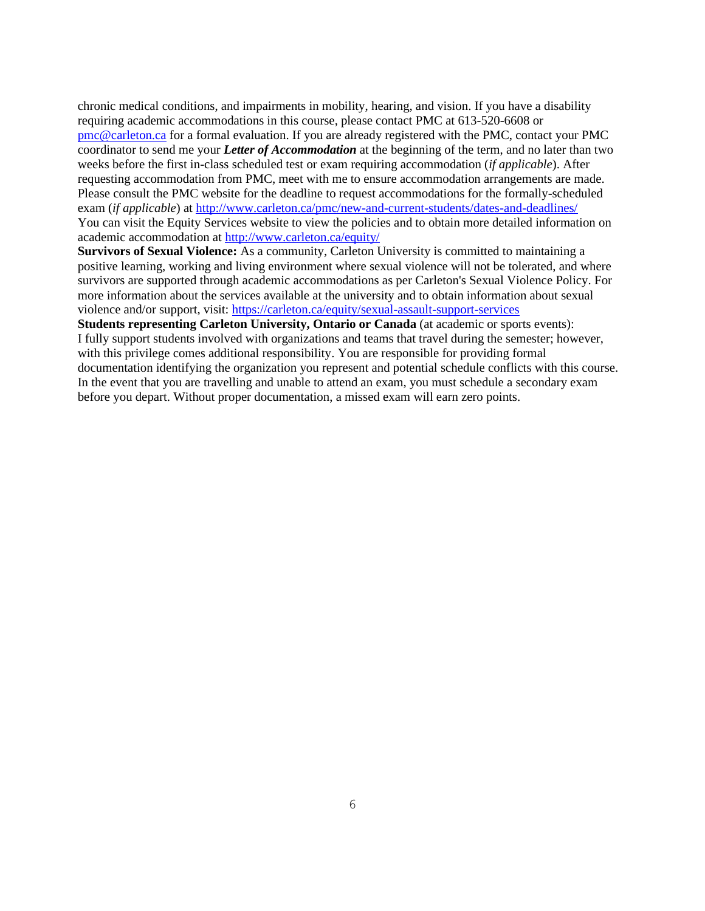chronic medical conditions, and impairments in mobility, hearing, and vision. If you have a disability requiring academic accommodations in this course, please contact PMC at 613-520-6608 or [pmc@carleton.ca](mailto:pmc@carleton.ca) for a formal evaluation. If you are already registered with the PMC, contact your PMC coordinator to send me your *Letter of Accommodation* at the beginning of the term, and no later than two weeks before the first in-class scheduled test or exam requiring accommodation (*if applicable*). After requesting accommodation from PMC, meet with me to ensure accommodation arrangements are made. Please consult the PMC website for the deadline to request accommodations for the formally-scheduled exam (*if applicable*) at<http://www.carleton.ca/pmc/new-and-current-students/dates-and-deadlines/> You can visit the Equity Services website to view the policies and to obtain more detailed information on academic accommodation at<http://www.carleton.ca/equity/>

**Survivors of Sexual Violence:** As a community, Carleton University is committed to maintaining a positive learning, working and living environment where sexual violence will not be tolerated, and where survivors are supported through academic accommodations as per Carleton's Sexual Violence Policy. For more information about the services available at the university and to obtain information about sexual violence and/or support, visit:<https://carleton.ca/equity/sexual-assault-support-services>

**Students representing Carleton University, Ontario or Canada** (at academic or sports events): I fully support students involved with organizations and teams that travel during the semester; however, with this privilege comes additional responsibility. You are responsible for providing formal documentation identifying the organization you represent and potential schedule conflicts with this course. In the event that you are travelling and unable to attend an exam, you must schedule a secondary exam before you depart. Without proper documentation, a missed exam will earn zero points.